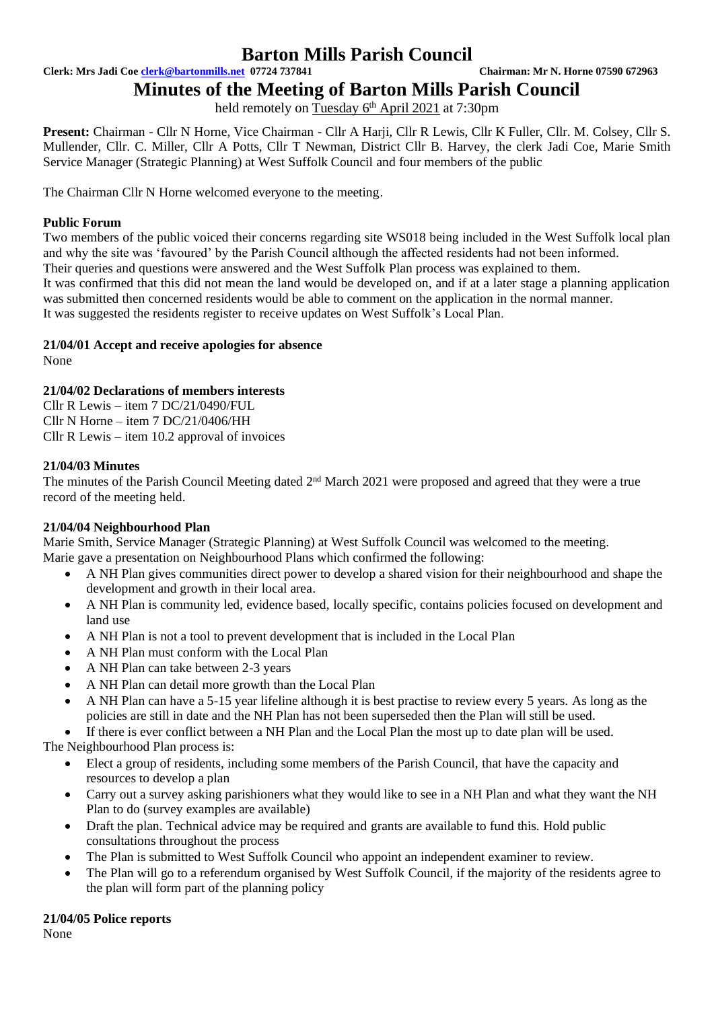**Clerk: Mrs Jadi Coe [clerk@bartonmills.net](mailto:clerk@bartonmills.net) 07724 737841 Chairman: Mr N. Horne 07590 672963**

**Minutes of the Meeting of Barton Mills Parish Council**

held remotely on Tuesday 6<sup>th</sup> April 2021 at 7:30pm

**Present:** Chairman - Cllr N Horne, Vice Chairman - Cllr A Harji, Cllr R Lewis, Cllr K Fuller, Cllr. M. Colsey, Cllr S. Mullender, Cllr. C. Miller, Cllr A Potts, Cllr T Newman, District Cllr B. Harvey, the clerk Jadi Coe, Marie Smith Service Manager (Strategic Planning) at West Suffolk Council and four members of the public

The Chairman Cllr N Horne welcomed everyone to the meeting.

### **Public Forum**

Two members of the public voiced their concerns regarding site WS018 being included in the West Suffolk local plan and why the site was 'favoured' by the Parish Council although the affected residents had not been informed. Their queries and questions were answered and the West Suffolk Plan process was explained to them. It was confirmed that this did not mean the land would be developed on, and if at a later stage a planning application was submitted then concerned residents would be able to comment on the application in the normal manner. It was suggested the residents register to receive updates on West Suffolk's Local Plan.

### **21/04/01 Accept and receive apologies for absence**

None

### **21/04/02 Declarations of members interests**

Cllr R Lewis – item  $7 D C/21/0490/FUL$ Cllr N Horne – item 7 DC/21/0406/HH Cllr R Lewis – item 10.2 approval of invoices

#### **21/04/03 Minutes**

The minutes of the Parish Council Meeting dated 2<sup>nd</sup> March 2021 were proposed and agreed that they were a true record of the meeting held.

#### **21/04/04 Neighbourhood Plan**

Marie Smith, Service Manager (Strategic Planning) at West Suffolk Council was welcomed to the meeting. Marie gave a presentation on Neighbourhood Plans which confirmed the following:

- A NH Plan gives communities direct power to develop a shared vision for their neighbourhood and shape the development and growth in their local area.
- A NH Plan is community led, evidence based, locally specific, contains policies focused on development and land use
- A NH Plan is not a tool to prevent development that is included in the Local Plan
- A NH Plan must conform with the Local Plan
- A NH Plan can take between 2-3 years
- A NH Plan can detail more growth than the Local Plan
- A NH Plan can have a 5-15 year lifeline although it is best practise to review every 5 years. As long as the policies are still in date and the NH Plan has not been superseded then the Plan will still be used.

• If there is ever conflict between a NH Plan and the Local Plan the most up to date plan will be used. The Neighbourhood Plan process is:

- Elect a group of residents, including some members of the Parish Council, that have the capacity and resources to develop a plan
- Carry out a survey asking parishioners what they would like to see in a NH Plan and what they want the NH Plan to do (survey examples are available)
- Draft the plan. Technical advice may be required and grants are available to fund this. Hold public consultations throughout the process
- The Plan is submitted to West Suffolk Council who appoint an independent examiner to review.
- The Plan will go to a referendum organised by West Suffolk Council, if the majority of the residents agree to the plan will form part of the planning policy

#### **21/04/05 Police reports**

None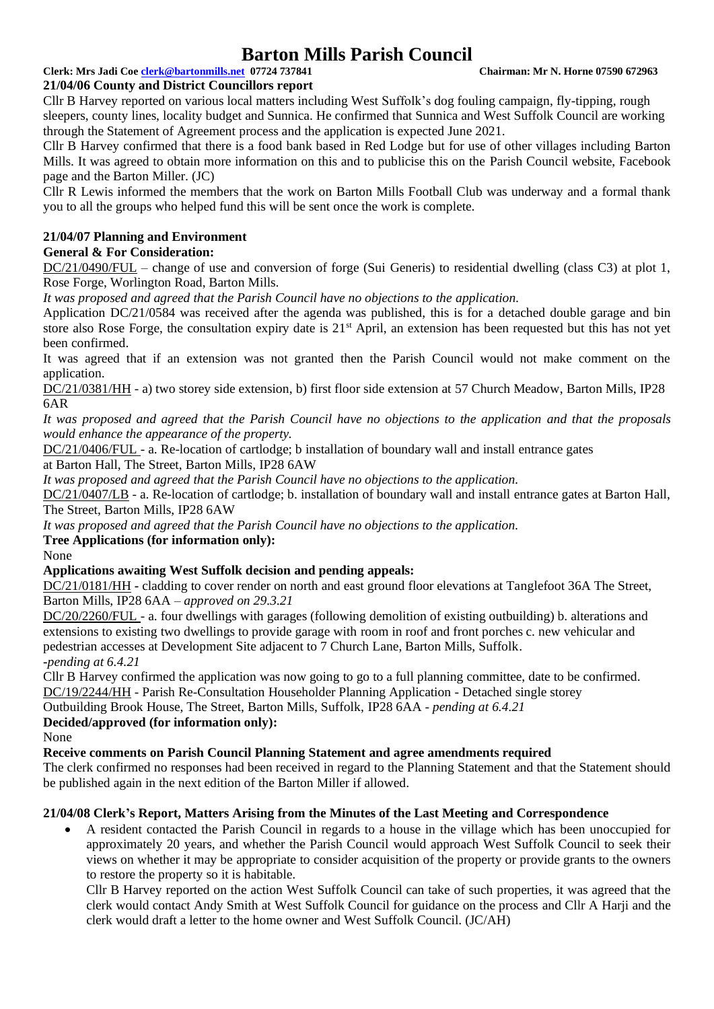### **Clerk: Mrs Jadi Coe [clerk@bartonmills.net](mailto:clerk@bartonmills.net) 07724 737841 Chairman: Mr N. Horne 07590 672963**

#### **21/04/06 County and District Councillors report**

Cllr B Harvey reported on various local matters including West Suffolk's dog fouling campaign, fly-tipping, rough sleepers, county lines, locality budget and Sunnica. He confirmed that Sunnica and West Suffolk Council are working through the Statement of Agreement process and the application is expected June 2021.

Cllr B Harvey confirmed that there is a food bank based in Red Lodge but for use of other villages including Barton Mills. It was agreed to obtain more information on this and to publicise this on the Parish Council website, Facebook page and the Barton Miller. (JC)

Cllr R Lewis informed the members that the work on Barton Mills Football Club was underway and a formal thank you to all the groups who helped fund this will be sent once the work is complete.

## **21/04/07 Planning and Environment**

### **General & For Consideration:**

DC/21/0490/FUL – change of use and conversion of forge (Sui Generis) to residential dwelling (class C3) at plot 1, Rose Forge, Worlington Road, Barton Mills.

*It was proposed and agreed that the Parish Council have no objections to the application.*

Application DC/21/0584 was received after the agenda was published, this is for a detached double garage and bin store also Rose Forge, the consultation expiry date is 21<sup>st</sup> April, an extension has been requested but this has not yet been confirmed.

It was agreed that if an extension was not granted then the Parish Council would not make comment on the application.

DC/21/0381/HH - a) two storey side extension, b) first floor side extension at 57 Church Meadow, Barton Mills, IP28 6AR

*It was proposed and agreed that the Parish Council have no objections to the application and that the proposals would enhance the appearance of the property.*

DC/21/0406/FUL - a. Re-location of cartlodge; b installation of boundary wall and install entrance gates

at Barton Hall, The Street, Barton Mills, IP28 6AW

*It was proposed and agreed that the Parish Council have no objections to the application.*

DC/21/0407/LB - a. Re-location of cartlodge; b. installation of boundary wall and install entrance gates at Barton Hall, The Street, Barton Mills, IP28 6AW

*It was proposed and agreed that the Parish Council have no objections to the application.*

#### **Tree Applications (for information only):**

None

#### **Applications awaiting West Suffolk decision and pending appeals:**

DC/21/0181/HH **-** cladding to cover render on north and east ground floor elevations at Tanglefoot 36A The Street, Barton Mills, IP28 6AA – *approved on 29.3.21*

DC/20/2260/FUL - a. four dwellings with garages (following demolition of existing outbuilding) b. alterations and extensions to existing two dwellings to provide garage with room in roof and front porches c. new vehicular and pedestrian accesses at Development Site adjacent to 7 Church Lane, Barton Mills, Suffolk. **-***pending at 6.4.21*

Cllr B Harvey confirmed the application was now going to go to a full planning committee, date to be confirmed.

DC/19/2244/HH - Parish Re-Consultation Householder Planning Application - Detached single storey

Outbuilding Brook House, The Street, Barton Mills, Suffolk, IP28 6AA - *pending at 6.4.21*

## **Decided/approved (for information only):**

None

**Receive comments on Parish Council Planning Statement and agree amendments required**

The clerk confirmed no responses had been received in regard to the Planning Statement and that the Statement should be published again in the next edition of the Barton Miller if allowed.

#### **21/04/08 Clerk's Report, Matters Arising from the Minutes of the Last Meeting and Correspondence**

• A resident contacted the Parish Council in regards to a house in the village which has been unoccupied for approximately 20 years, and whether the Parish Council would approach West Suffolk Council to seek their views on whether it may be appropriate to consider acquisition of the property or provide grants to the owners to restore the property so it is habitable.

Cllr B Harvey reported on the action West Suffolk Council can take of such properties, it was agreed that the clerk would contact Andy Smith at West Suffolk Council for guidance on the process and Cllr A Harji and the clerk would draft a letter to the home owner and West Suffolk Council. (JC/AH)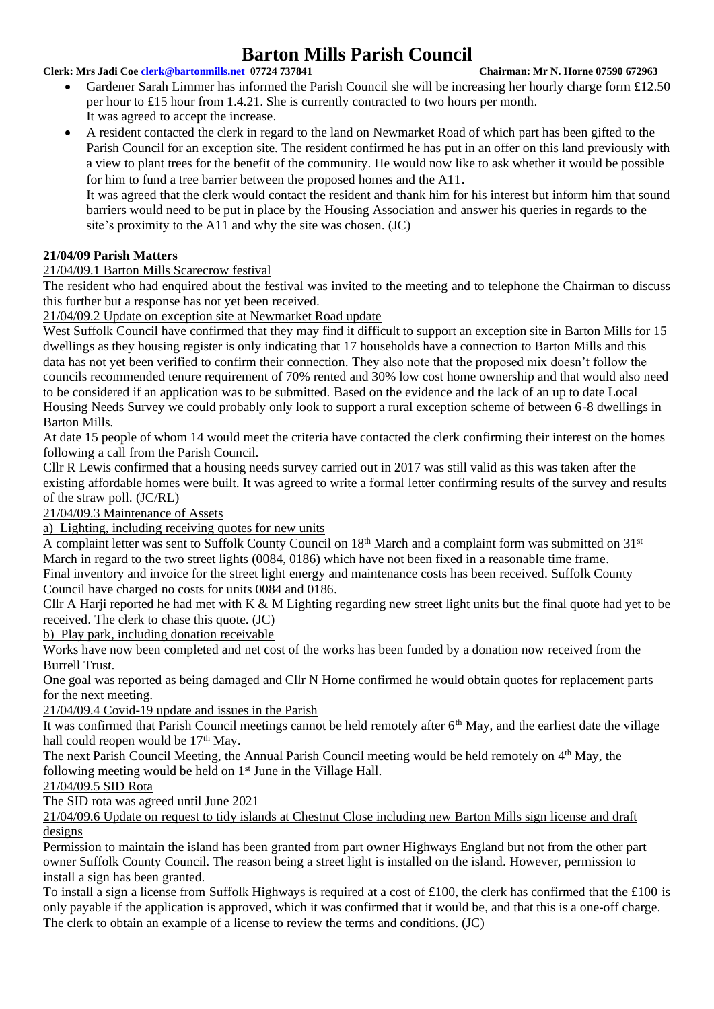#### **Clerk: Mrs Jadi Coe [clerk@bartonmills.net](mailto:clerk@bartonmills.net) 07724 737841 Chairman: Mr N. Horne 07590 672963**

- Gardener Sarah Limmer has informed the Parish Council she will be increasing her hourly charge form £12.50 per hour to £15 hour from 1.4.21. She is currently contracted to two hours per month. It was agreed to accept the increase.
- A resident contacted the clerk in regard to the land on Newmarket Road of which part has been gifted to the Parish Council for an exception site. The resident confirmed he has put in an offer on this land previously with a view to plant trees for the benefit of the community. He would now like to ask whether it would be possible for him to fund a tree barrier between the proposed homes and the A11.

It was agreed that the clerk would contact the resident and thank him for his interest but inform him that sound barriers would need to be put in place by the Housing Association and answer his queries in regards to the site's proximity to the A11 and why the site was chosen. (JC)

### **21/04/09 Parish Matters**

#### 21/04/09.1 Barton Mills Scarecrow festival

The resident who had enquired about the festival was invited to the meeting and to telephone the Chairman to discuss this further but a response has not yet been received.

21/04/09.2 Update on exception site at Newmarket Road update

West Suffolk Council have confirmed that they may find it difficult to support an exception site in Barton Mills for 15 dwellings as they housing register is only indicating that 17 households have a connection to Barton Mills and this data has not yet been verified to confirm their connection. They also note that the proposed mix doesn't follow the councils recommended tenure requirement of 70% rented and 30% low cost home ownership and that would also need to be considered if an application was to be submitted. Based on the evidence and the lack of an up to date Local Housing Needs Survey we could probably only look to support a rural exception scheme of between 6-8 dwellings in Barton Mills.

At date 15 people of whom 14 would meet the criteria have contacted the clerk confirming their interest on the homes following a call from the Parish Council.

Cllr R Lewis confirmed that a housing needs survey carried out in 2017 was still valid as this was taken after the existing affordable homes were built. It was agreed to write a formal letter confirming results of the survey and results of the straw poll. (JC/RL)

21/04/09.3 Maintenance of Assets

a) Lighting, including receiving quotes for new units

A complaint letter was sent to Suffolk County Council on 18<sup>th</sup> March and a complaint form was submitted on 31<sup>st</sup> March in regard to the two street lights (0084, 0186) which have not been fixed in a reasonable time frame. Final inventory and invoice for the street light energy and maintenance costs has been received. Suffolk County Council have charged no costs for units 0084 and 0186.

Cllr A Harji reported he had met with K & M Lighting regarding new street light units but the final quote had yet to be received. The clerk to chase this quote. (JC)

b) Play park, including donation receivable

Works have now been completed and net cost of the works has been funded by a donation now received from the Burrell Trust.

One goal was reported as being damaged and Cllr N Horne confirmed he would obtain quotes for replacement parts for the next meeting.

21/04/09.4 Covid-19 update and issues in the Parish

It was confirmed that Parish Council meetings cannot be held remotely after 6<sup>th</sup> May, and the earliest date the village hall could reopen would be  $17<sup>th</sup>$  May.

The next Parish Council Meeting, the Annual Parish Council meeting would be held remotely on 4<sup>th</sup> May, the following meeting would be held on  $1<sup>st</sup>$  June in the Village Hall.

### 21/04/09.5 SID Rota

The SID rota was agreed until June 2021

21/04/09.6 Update on request to tidy islands at Chestnut Close including new Barton Mills sign license and draft designs

Permission to maintain the island has been granted from part owner Highways England but not from the other part owner Suffolk County Council. The reason being a street light is installed on the island. However, permission to install a sign has been granted.

To install a sign a license from Suffolk Highways is required at a cost of £100, the clerk has confirmed that the £100 is only payable if the application is approved, which it was confirmed that it would be, and that this is a one-off charge. The clerk to obtain an example of a license to review the terms and conditions. (JC)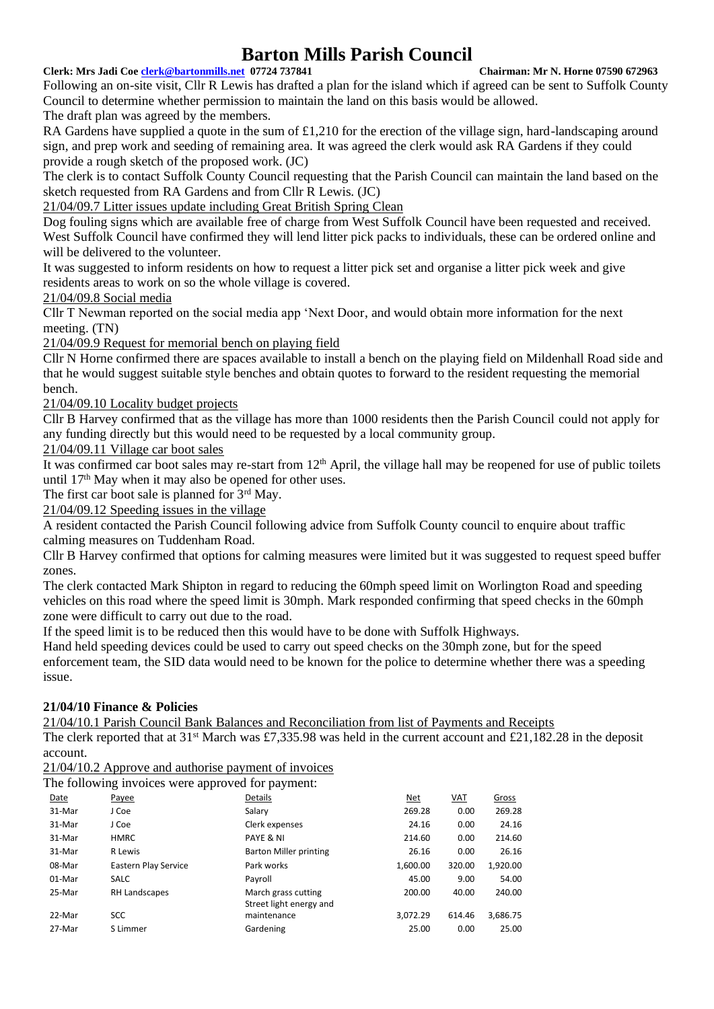#### **Clerk: Mrs Jadi Coe [clerk@bartonmills.net](mailto:clerk@bartonmills.net) 07724 737841 Chairman: Mr N. Horne 07590 672963**

Following an on-site visit, Cllr R Lewis has drafted a plan for the island which if agreed can be sent to Suffolk County Council to determine whether permission to maintain the land on this basis would be allowed. The draft plan was agreed by the members.

RA Gardens have supplied a quote in the sum of £1,210 for the erection of the village sign, hard-landscaping around sign, and prep work and seeding of remaining area. It was agreed the clerk would ask RA Gardens if they could provide a rough sketch of the proposed work. (JC)

The clerk is to contact Suffolk County Council requesting that the Parish Council can maintain the land based on the sketch requested from RA Gardens and from Cllr R Lewis. (JC)

21/04/09.7 Litter issues update including Great British Spring Clean

Dog fouling signs which are available free of charge from West Suffolk Council have been requested and received. West Suffolk Council have confirmed they will lend litter pick packs to individuals, these can be ordered online and will be delivered to the volunteer.

It was suggested to inform residents on how to request a litter pick set and organise a litter pick week and give residents areas to work on so the whole village is covered.

21/04/09.8 Social media

Cllr T Newman reported on the social media app 'Next Door, and would obtain more information for the next meeting. (TN)

21/04/09.9 Request for memorial bench on playing field

Cllr N Horne confirmed there are spaces available to install a bench on the playing field on Mildenhall Road side and that he would suggest suitable style benches and obtain quotes to forward to the resident requesting the memorial bench.

21/04/09.10 Locality budget projects

Cllr B Harvey confirmed that as the village has more than 1000 residents then the Parish Council could not apply for any funding directly but this would need to be requested by a local community group.

21/04/09.11 Village car boot sales

It was confirmed car boot sales may re-start from  $12<sup>th</sup>$  April, the village hall may be reopened for use of public toilets until  $17<sup>th</sup>$  May when it may also be opened for other uses.

The first car boot sale is planned for  $3<sup>rd</sup>$  May.

21/04/09.12 Speeding issues in the village

A resident contacted the Parish Council following advice from Suffolk County council to enquire about traffic calming measures on Tuddenham Road.

Cllr B Harvey confirmed that options for calming measures were limited but it was suggested to request speed buffer zones.

The clerk contacted Mark Shipton in regard to reducing the 60mph speed limit on Worlington Road and speeding vehicles on this road where the speed limit is 30mph. Mark responded confirming that speed checks in the 60mph zone were difficult to carry out due to the road.

If the speed limit is to be reduced then this would have to be done with Suffolk Highways.

Hand held speeding devices could be used to carry out speed checks on the 30mph zone, but for the speed enforcement team, the SID data would need to be known for the police to determine whether there was a speeding issue.

#### **21/04/10 Finance & Policies**

21/04/10.1 Parish Council Bank Balances and Reconciliation from list of Payments and Receipts

The clerk reported that at 31<sup>st</sup> March was £7,335.98 was held in the current account and £21,182.28 in the deposit account.

21/04/10.2 Approve and authorise payment of invoices

The following invoices were approved for payment:

| Date   | Payee                | Details                 | Net      | VAT    | Gross    |
|--------|----------------------|-------------------------|----------|--------|----------|
| 31-Mar | J Coe                | Salary                  | 269.28   | 0.00   | 269.28   |
| 31-Mar | J Coe                | Clerk expenses          | 24.16    | 0.00   | 24.16    |
| 31-Mar | <b>HMRC</b>          | PAYE & NI               | 214.60   | 0.00   | 214.60   |
| 31-Mar | R Lewis              | Barton Miller printing  | 26.16    | 0.00   | 26.16    |
| 08-Mar | Eastern Play Service | Park works              | 1,600.00 | 320.00 | 1,920.00 |
| 01-Mar | <b>SALC</b>          | Payroll                 | 45.00    | 9.00   | 54.00    |
| 25-Mar | RH Landscapes        | March grass cutting     | 200.00   | 40.00  | 240.00   |
|        |                      | Street light energy and |          |        |          |
| 22-Mar | <b>SCC</b>           | maintenance             | 3.072.29 | 614.46 | 3,686.75 |
| 27-Mar | S Limmer             | Gardening               | 25.00    | 0.00   | 25.00    |
|        |                      |                         |          |        |          |